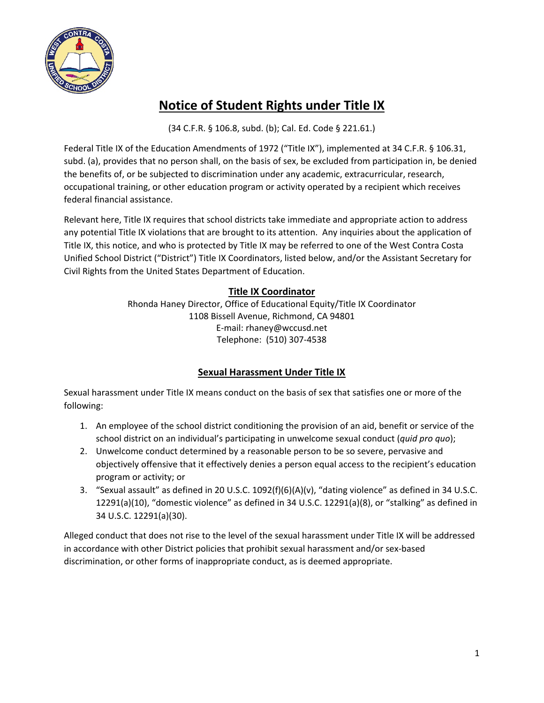

# **Notice of Student Rights under Title IX**

(34 C.F.R. § 106.8, subd. (b); Cal. Ed. Code § 221.61.)

Federal Title IX of the Education Amendments of 1972 ("Title IX"), implemented at 34 C.F.R. § 106.31, subd. (a), provides that no person shall, on the basis of sex, be excluded from participation in, be denied the benefits of, or be subjected to discrimination under any academic, extracurricular, research, occupational training, or other education program or activity operated by a recipient which receives federal financial assistance.

Relevant here, Title IX requires that school districts take immediate and appropriate action to address any potential Title IX violations that are brought to its attention. Any inquiries about the application of Title IX, this notice, and who is protected by Title IX may be referred to one of the West Contra Costa Unified School District ("District") Title IX Coordinators, listed below, and/or the Assistant Secretary for Civil Rights from the United States Department of Education.

# **Title IX Coordinator**

Rhonda Haney Director, Office of Educational Equity/Title IX Coordinator 1108 Bissell Avenue, Richmond, CA 94801 E-mail: rhaney@wccusd.net Telephone: (510) 307-4538

## **Sexual Harassment Under Title IX**

Sexual harassment under Title IX means conduct on the basis of sex that satisfies one or more of the following:

- 1. An employee of the school district conditioning the provision of an aid, benefit or service of the school district on an individual's participating in unwelcome sexual conduct (*quid pro quo*);
- 2. Unwelcome conduct determined by a reasonable person to be so severe, pervasive and objectively offensive that it effectively denies a person equal access to the recipient's education program or activity; or
- 3. "Sexual assault" as defined in 20 U.S.C. 1092(f)(6)(A)(v), "dating violence" as defined in 34 U.S.C. 12291(a)(10), "domestic violence" as defined in 34 U.S.C. 12291(a)(8), or "stalking" as defined in 34 U.S.C. 12291(a)(30).

Alleged conduct that does not rise to the level of the sexual harassment under Title IX will be addressed in accordance with other District policies that prohibit sexual harassment and/or sex-based discrimination, or other forms of inappropriate conduct, as is deemed appropriate.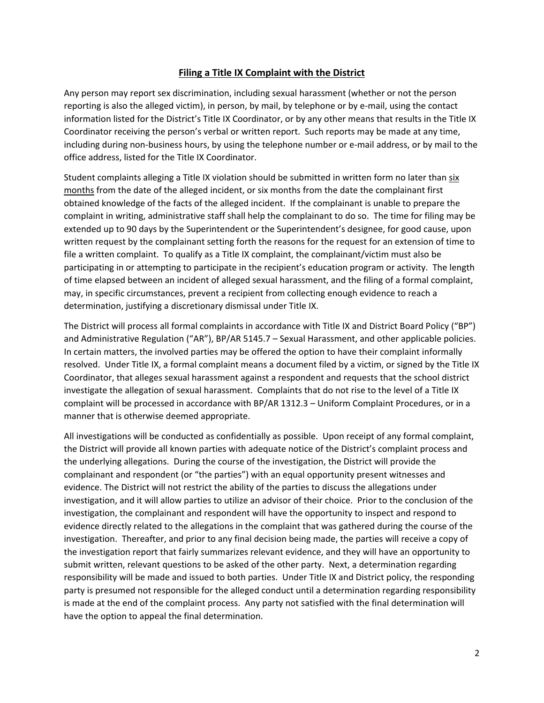#### **Filing a Title IX Complaint with the District**

Any person may report sex discrimination, including sexual harassment (whether or not the person reporting is also the alleged victim), in person, by mail, by telephone or by e-mail, using the contact information listed for the District's Title IX Coordinator, or by any other means that results in the Title IX Coordinator receiving the person's verbal or written report. Such reports may be made at any time, including during non-business hours, by using the telephone number or e-mail address, or by mail to the office address, listed for the Title IX Coordinator.

Student complaints alleging a Title IX violation should be submitted in written form no later than six months from the date of the alleged incident, or six months from the date the complainant first obtained knowledge of the facts of the alleged incident. If the complainant is unable to prepare the complaint in writing, administrative staff shall help the complainant to do so. The time for filing may be extended up to 90 days by the Superintendent or the Superintendent's designee, for good cause, upon written request by the complainant setting forth the reasons for the request for an extension of time to file a written complaint. To qualify as a Title IX complaint, the complainant/victim must also be participating in or attempting to participate in the recipient's education program or activity. The length of time elapsed between an incident of alleged sexual harassment, and the filing of a formal complaint, may, in specific circumstances, prevent a recipient from collecting enough evidence to reach a determination, justifying a discretionary dismissal under Title IX.

The District will process all formal complaints in accordance with Title IX and District Board Policy ("BP") and Administrative Regulation ("AR"), BP/AR 5145.7 – Sexual Harassment, and other applicable policies. In certain matters, the involved parties may be offered the option to have their complaint informally resolved. Under Title IX, a formal complaint means a document filed by a victim, or signed by the Title IX Coordinator, that alleges sexual harassment against a respondent and requests that the school district investigate the allegation of sexual harassment. Complaints that do not rise to the level of a Title IX complaint will be processed in accordance with BP/AR 1312.3 – Uniform Complaint Procedures, or in a manner that is otherwise deemed appropriate.

All investigations will be conducted as confidentially as possible. Upon receipt of any formal complaint, the District will provide all known parties with adequate notice of the District's complaint process and the underlying allegations. During the course of the investigation, the District will provide the complainant and respondent (or "the parties") with an equal opportunity present witnesses and evidence. The District will not restrict the ability of the parties to discuss the allegations under investigation, and it will allow parties to utilize an advisor of their choice. Prior to the conclusion of the investigation, the complainant and respondent will have the opportunity to inspect and respond to evidence directly related to the allegations in the complaint that was gathered during the course of the investigation. Thereafter, and prior to any final decision being made, the parties will receive a copy of the investigation report that fairly summarizes relevant evidence, and they will have an opportunity to submit written, relevant questions to be asked of the other party. Next, a determination regarding responsibility will be made and issued to both parties. Under Title IX and District policy, the responding party is presumed not responsible for the alleged conduct until a determination regarding responsibility is made at the end of the complaint process. Any party not satisfied with the final determination will have the option to appeal the final determination.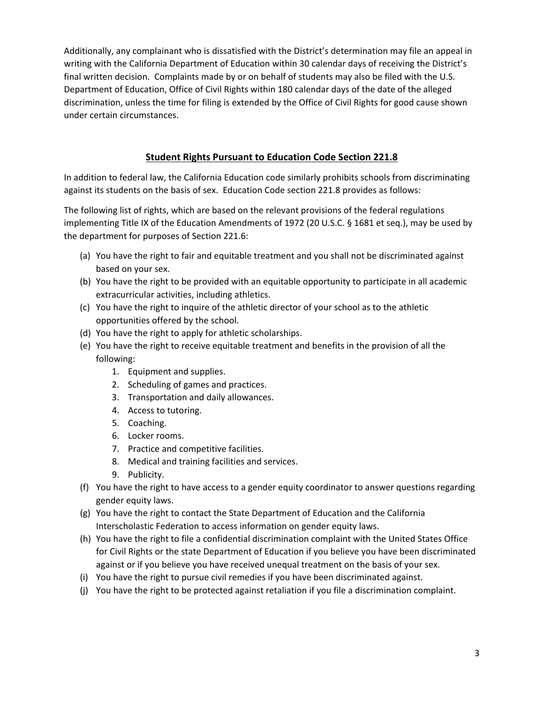Additionally, any complainant who is dissatisfied with the District's determination may file an appeal in writing with the California Department of Education within 30 calendar days of receiving the District's final written decision. Complaints made by or on behalf of students may also be filed with the U.S. Department of Education, Office of Civil Rights within 180 calendar days of the date of the alleged discrimination, unless the time for filing is extended by the Office of Civil Rights for good cause shown under certain circumstances.

## **Student Rights Pursuant to Education Code Section 221.8**

In addition to federal law, the California Education code similarly prohibits schools from discriminating against its students on the basis of sex. Education Code section 221.8 provides as follows:

The following list of rights, which are based on the relevant provisions of the federal regulations implementing Title IX of the Education Amendments of 1972 (20 U.S.C. § 1681 et seq.), may be used by the department for purposes of Section 221.6:

- (a) You have the right to fair and equitable treatment and you shall not be discriminated against based on your sex.
- (b) You have the right to be provided with an equitable opportunity to participate in all academic extracurricular activities, including athletics.
- (c) You have the right to inquire of the athletic director of your school as to the athletic opportunities offered by the school.
- (d) You have the right to apply for athletic scholarships.
- (e) You have the right to receive equitable treatment and benefits in the provision of all the following:
	- 1. Equipment and supplies.
	- 2. Scheduling of games and practices.
	- 3. Transportation and daily allowances.
	- 4. Access to tutoring.
	- 5. Coaching.
	- 6. Locker rooms.
	- 7. Practice and competitive facilities.
	- 8. Medical and training facilities and services.
	- 9. Publicity.
- (f) You have the right to have access to a gender equity coordinator to answer questions regarding gender equity laws.
- (g) You have the right to contact the State Department of Education and the California Interscholastic Federation to access information on gender equity laws.
- (h) You have the right to file a confidential discrimination complaint with the United States Office for Civil Rights or the state Department of Education if you believe you have been discriminated against or if you believe you have received unequal treatment on the basis of your sex.
- (i) You have the right to pursue civil remedies if you have been discriminated against.
- (j) You have the right to be protected against retaliation if you file a discrimination complaint.